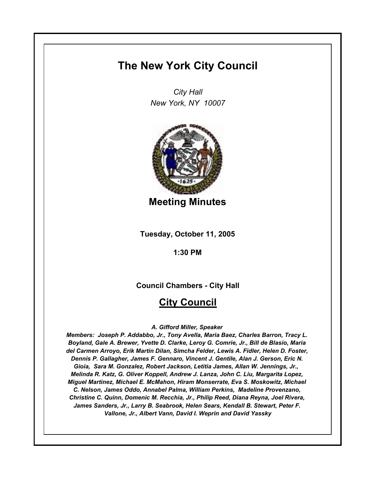# **The New York City Council**

*City Hall New York, NY 10007*



**Meeting Minutes**

**Tuesday, October 11, 2005**

**1:30 PM**

**Council Chambers - City Hall**

## **City Council**

## *A. Gifford Miller, Speaker*

*Members: Joseph P. Addabbo, Jr., Tony Avella, Maria Baez, Charles Barron, Tracy L. Boyland, Gale A. Brewer, Yvette D. Clarke, Leroy G. Comrie, Jr., Bill de Blasio, Maria del Carmen Arroyo, Erik Martin Dilan, Simcha Felder, Lewis A. Fidler, Helen D. Foster, Dennis P. Gallagher, James F. Gennaro, Vincent J. Gentile, Alan J. Gerson, Eric N. Gioia, Sara M. Gonzalez, Robert Jackson, Letitia James, Allan W. Jennings, Jr., Melinda R. Katz, G. Oliver Koppell, Andrew J. Lanza, John C. Liu, Margarita Lopez, Miguel Martinez, Michael E. McMahon, Hiram Monserrate, Eva S. Moskowitz, Michael C. Nelson, James Oddo, Annabel Palma, William Perkins, Madeline Provenzano, Christine C. Quinn, Domenic M. Recchia, Jr., Philip Reed, Diana Reyna, Joel Rivera, James Sanders, Jr., Larry B. Seabrook, Helen Sears, Kendall B. Stewart, Peter F. Vallone, Jr., Albert Vann, David I. Weprin and David Yassky*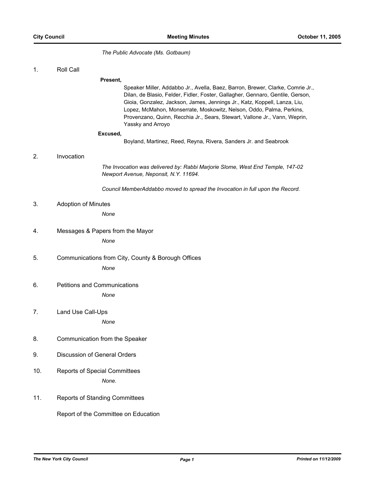*The Public Advocate (Ms. Gotbaum)*

1. Roll Call

**Present,**

Speaker Miller, Addabbo Jr., Avella, Baez, Barron, Brewer, Clarke, Comrie Jr., Dilan, de Blasio, Felder, Fidler, Foster, Gallagher, Gennaro, Gentile, Gerson, Gioia, Gonzalez, Jackson, James, Jennings Jr., Katz, Koppell, Lanza, Liu, Lopez, McMahon, Monserrate, Moskowitz, Nelson, Oddo, Palma, Perkins, Provenzano, Quinn, Recchia Jr., Sears, Stewart, Vallone Jr., Vann, Weprin, Yassky and Arroyo

#### **Excused,**

Boyland, Martinez, Reed, Reyna, Rivera, Sanders Jr. and Seabrook

## 2. Invocation

*The Invocation was delivered by: Rabbi Marjorie Slome, West End Temple, 147-02 Newport Avenue, Neponsit, N.Y. 11694.*

*Council MemberAddabbo moved to spread the Invocation in full upon the Record.*

3. Adoption of Minutes

*None*

- 4. Messages & Papers from the Mayor *None*
- 5. Communications from City, County & Borough Offices *None*
- 6. Petitions and Communications *None*
- 7. Land Use Call-Ups

*None*

- 8. Communication from the Speaker
- 9. Discussion of General Orders
- 10. Reports of Special Committees *None.*
- 11. Reports of Standing Committees

Report of the Committee on Education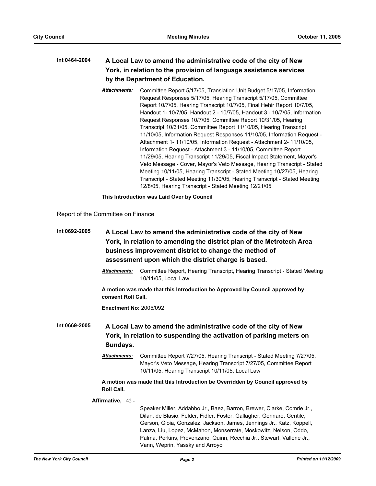## **Int 0464-2004 A Local Law to amend the administrative code of the city of New York, in relation to the provision of language assistance services by the Department of Education.**

*Attachments:* Committee Report 5/17/05, Translation Unit Budget 5/17/05, Information Request Responses 5/17/05, Hearing Transcript 5/17/05, Committee Report 10/7/05, Hearing Transcript 10/7/05, Final Hehir Report 10/7/05, Handout 1- 10/7/05, Handout 2 - 10/7/05, Handout 3 - 10/7/05, Information Request Responses 10/7/05, Committee Report 10/31/05, Hearing Transcript 10/31/05, Committee Report 11/10/05, Hearing Transcript 11/10/05, Information Request Responses 11/10/05, Information Request - Attachment 1- 11/10/05, Information Request - Attachment 2- 11/10/05, Information Request - Attachment 3 - 11/10/05, Committee Report 11/29/05, Hearing Transcript 11/29/05, Fiscal Impact Statement, Mayor's Veto Message - Cover, Mayor's Veto Message, Hearing Transcript - Stated Meeting 10/11/05, Hearing Transcript - Stated Meeting 10/27/05, Hearing Transcript - Stated Meeting 11/30/05, Hearing Transcript - Stated Meeting 12/8/05, Hearing Transcript - Stated Meeting 12/21/05

**This Introduction was Laid Over by Council**

Report of the Committee on Finance

| Int 0692-2005<br>assessment upon which the district charge is based. |                               | A Local Law to amend the administrative code of the city of New<br>York, in relation to amending the district plan of the Metrotech Area<br>business improvement district to change the method of                                                                                                                                                                                                         |
|----------------------------------------------------------------------|-------------------------------|-----------------------------------------------------------------------------------------------------------------------------------------------------------------------------------------------------------------------------------------------------------------------------------------------------------------------------------------------------------------------------------------------------------|
|                                                                      | Attachments:                  | Committee Report, Hearing Transcript, Hearing Transcript - Stated Meeting<br>10/11/05, Local Law                                                                                                                                                                                                                                                                                                          |
|                                                                      | consent Roll Call.            | A motion was made that this Introduction be Approved by Council approved by                                                                                                                                                                                                                                                                                                                               |
|                                                                      | <b>Enactment No: 2005/092</b> |                                                                                                                                                                                                                                                                                                                                                                                                           |
| Int 0669-2005                                                        | Sundays.                      | A Local Law to amend the administrative code of the city of New<br>York, in relation to suspending the activation of parking meters on                                                                                                                                                                                                                                                                    |
|                                                                      | <b>Attachments:</b>           | Committee Report 7/27/05, Hearing Transcript - Stated Meeting 7/27/05,<br>Mayor's Veto Message, Hearing Transcript 7/27/05, Committee Report<br>10/11/05, Hearing Transcript 10/11/05, Local Law                                                                                                                                                                                                          |
|                                                                      | <b>Roll Call.</b>             | A motion was made that this Introduction be Overridden by Council approved by                                                                                                                                                                                                                                                                                                                             |
|                                                                      | Affirmative, 42 -             |                                                                                                                                                                                                                                                                                                                                                                                                           |
|                                                                      |                               | Speaker Miller, Addabbo Jr., Baez, Barron, Brewer, Clarke, Comrie Jr.,<br>Dilan, de Blasio, Felder, Fidler, Foster, Gallagher, Gennaro, Gentile,<br>Gerson, Gioia, Gonzalez, Jackson, James, Jennings Jr., Katz, Koppell,<br>Lanza, Liu, Lopez, McMahon, Monserrate, Moskowitz, Nelson, Oddo,<br>Palma, Perkins, Provenzano, Quinn, Recchia Jr., Stewart, Vallone Jr.,<br>Vann, Weprin, Yassky and Arroyo |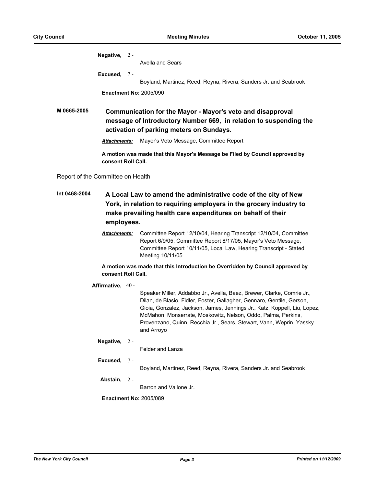|                                                                                                                                                                                                                                      | Negative, $2 -$     |       |                                                                                                                                                                                                                                                                                                                                                                                      |
|--------------------------------------------------------------------------------------------------------------------------------------------------------------------------------------------------------------------------------------|---------------------|-------|--------------------------------------------------------------------------------------------------------------------------------------------------------------------------------------------------------------------------------------------------------------------------------------------------------------------------------------------------------------------------------------|
|                                                                                                                                                                                                                                      |                     |       | Avella and Sears                                                                                                                                                                                                                                                                                                                                                                     |
|                                                                                                                                                                                                                                      | Excused,            | $7 -$ | Boyland, Martinez, Reed, Reyna, Rivera, Sanders Jr. and Seabrook                                                                                                                                                                                                                                                                                                                     |
|                                                                                                                                                                                                                                      |                     |       | <b>Enactment No: 2005/090</b>                                                                                                                                                                                                                                                                                                                                                        |
|                                                                                                                                                                                                                                      |                     |       |                                                                                                                                                                                                                                                                                                                                                                                      |
| M 0665-2005                                                                                                                                                                                                                          |                     |       | Communication for the Mayor - Mayor's veto and disapproval                                                                                                                                                                                                                                                                                                                           |
|                                                                                                                                                                                                                                      |                     |       | message of Introductory Number 669, in relation to suspending the                                                                                                                                                                                                                                                                                                                    |
|                                                                                                                                                                                                                                      |                     |       | activation of parking meters on Sundays.                                                                                                                                                                                                                                                                                                                                             |
|                                                                                                                                                                                                                                      | <b>Attachments:</b> |       | Mayor's Veto Message, Committee Report                                                                                                                                                                                                                                                                                                                                               |
|                                                                                                                                                                                                                                      | consent Roll Call.  |       | A motion was made that this Mayor's Message be Filed by Council approved by                                                                                                                                                                                                                                                                                                          |
| Report of the Committee on Health                                                                                                                                                                                                    |                     |       |                                                                                                                                                                                                                                                                                                                                                                                      |
| Int 0468-2004<br>A Local Law to amend the administrative code of the city of New<br>York, in relation to requiring employers in the grocery industry to<br>make prevailing health care expenditures on behalf of their<br>employees. |                     |       |                                                                                                                                                                                                                                                                                                                                                                                      |
|                                                                                                                                                                                                                                      | <b>Attachments:</b> |       | Committee Report 12/10/04, Hearing Transcript 12/10/04, Committee<br>Report 6/9/05, Committee Report 8/17/05, Mayor's Veto Message,<br>Committee Report 10/11/05, Local Law, Hearing Transcript - Stated<br>Meeting 10/11/05                                                                                                                                                         |
|                                                                                                                                                                                                                                      | consent Roll Call.  |       | A motion was made that this Introduction be Overridden by Council approved by                                                                                                                                                                                                                                                                                                        |
|                                                                                                                                                                                                                                      | Affirmative, 40 -   |       |                                                                                                                                                                                                                                                                                                                                                                                      |
|                                                                                                                                                                                                                                      |                     |       | Speaker Miller, Addabbo Jr., Avella, Baez, Brewer, Clarke, Comrie Jr.,<br>Dilan, de Blasio, Fidler, Foster, Gallagher, Gennaro, Gentile, Gerson,<br>Gioia, Gonzalez, Jackson, James, Jennings Jr., Katz, Koppell, Liu, Lopez,<br>McMahon, Monserrate, Moskowitz, Nelson, Oddo, Palma, Perkins,<br>Provenzano, Quinn, Recchia Jr., Sears, Stewart, Vann, Weprin, Yassky<br>and Arroyo |
|                                                                                                                                                                                                                                      | Negative, $2 -$     |       | Felder and Lanza                                                                                                                                                                                                                                                                                                                                                                     |
|                                                                                                                                                                                                                                      |                     |       |                                                                                                                                                                                                                                                                                                                                                                                      |
|                                                                                                                                                                                                                                      | Excused, 7-         |       | Boyland, Martinez, Reed, Reyna, Rivera, Sanders Jr. and Seabrook                                                                                                                                                                                                                                                                                                                     |
|                                                                                                                                                                                                                                      | Abstain, $2 -$      |       |                                                                                                                                                                                                                                                                                                                                                                                      |
|                                                                                                                                                                                                                                      |                     |       | Barron and Vallone Jr.                                                                                                                                                                                                                                                                                                                                                               |
|                                                                                                                                                                                                                                      |                     |       | <b>Enactment No: 2005/089</b>                                                                                                                                                                                                                                                                                                                                                        |
|                                                                                                                                                                                                                                      |                     |       |                                                                                                                                                                                                                                                                                                                                                                                      |
|                                                                                                                                                                                                                                      |                     |       |                                                                                                                                                                                                                                                                                                                                                                                      |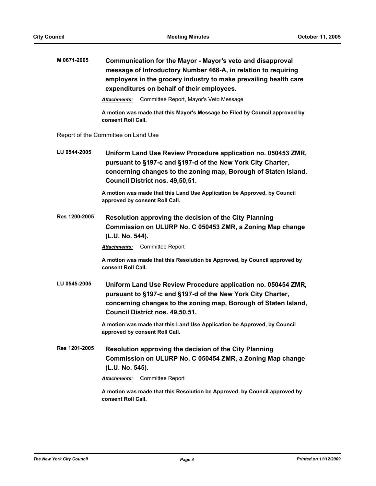| M 0671-2005   | Communication for the Mayor - Mayor's veto and disapproval<br>message of Introductory Number 468-A, in relation to requiring<br>employers in the grocery industry to make prevailing health care<br>expenditures on behalf of their employees. |  |
|---------------|------------------------------------------------------------------------------------------------------------------------------------------------------------------------------------------------------------------------------------------------|--|
|               | Committee Report, Mayor's Veto Message<br>Attachments:                                                                                                                                                                                         |  |
|               | A motion was made that this Mayor's Message be Filed by Council approved by<br>consent Roll Call.                                                                                                                                              |  |
|               | Report of the Committee on Land Use                                                                                                                                                                                                            |  |
| LU 0544-2005  | Uniform Land Use Review Procedure application no. 050453 ZMR,<br>pursuant to §197-c and §197-d of the New York City Charter,<br>concerning changes to the zoning map, Borough of Staten Island,<br>Council District nos. 49,50,51.             |  |
|               | A motion was made that this Land Use Application be Approved, by Council<br>approved by consent Roll Call.                                                                                                                                     |  |
| Res 1200-2005 | Resolution approving the decision of the City Planning<br>Commission on ULURP No. C 050453 ZMR, a Zoning Map change<br>(L.U. No. 544).                                                                                                         |  |
|               | <b>Attachments:</b> Committee Report                                                                                                                                                                                                           |  |
|               | A motion was made that this Resolution be Approved, by Council approved by<br>consent Roll Call.                                                                                                                                               |  |
| LU 0545-2005  | Uniform Land Use Review Procedure application no. 050454 ZMR,<br>pursuant to §197-c and §197-d of the New York City Charter,<br>concerning changes to the zoning map, Borough of Staten Island,<br>Council District nos. 49,50,51.             |  |
|               | A motion was made that this Land Use Application be Approved, by Council<br>approved by consent Roll Call.                                                                                                                                     |  |
| Res 1201-2005 | Resolution approving the decision of the City Planning<br>Commission on ULURP No. C 050454 ZMR, a Zoning Map change<br>(L.U. No. 545).                                                                                                         |  |
|               | Committee Report<br>Attachments:                                                                                                                                                                                                               |  |
|               | A motion was made that this Resolution be Approved, by Council approved by<br>consent Roll Call.                                                                                                                                               |  |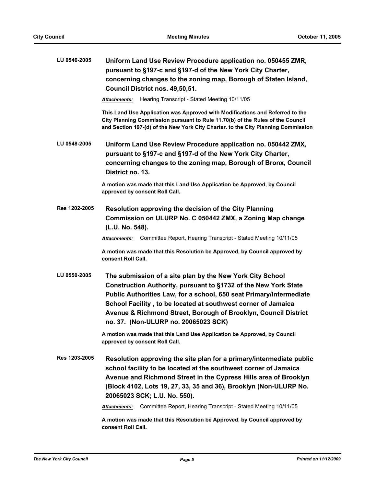| LU 0546-2005  | Uniform Land Use Review Procedure application no. 050455 ZMR,<br>pursuant to §197-c and §197-d of the New York City Charter,<br>concerning changes to the zoning map, Borough of Staten Island,<br>Council District nos. 49,50,51.                                                                                                                                              |
|---------------|---------------------------------------------------------------------------------------------------------------------------------------------------------------------------------------------------------------------------------------------------------------------------------------------------------------------------------------------------------------------------------|
|               | Hearing Transcript - Stated Meeting 10/11/05<br><b>Attachments:</b>                                                                                                                                                                                                                                                                                                             |
|               | This Land Use Application was Approved with Modifications and Referred to the<br>City Planning Commission pursuant to Rule 11.70(b) of the Rules of the Council<br>and Section 197-(d) of the New York City Charter. to the City Planning Commission                                                                                                                            |
| LU 0548-2005  | Uniform Land Use Review Procedure application no. 050442 ZMX,<br>pursuant to §197-c and §197-d of the New York City Charter,<br>concerning changes to the zoning map, Borough of Bronx, Council<br>District no. 13.                                                                                                                                                             |
|               | A motion was made that this Land Use Application be Approved, by Council<br>approved by consent Roll Call.                                                                                                                                                                                                                                                                      |
| Res 1202-2005 | Resolution approving the decision of the City Planning<br>Commission on ULURP No. C 050442 ZMX, a Zoning Map change<br>(L.U. No. 548).                                                                                                                                                                                                                                          |
|               | Committee Report, Hearing Transcript - Stated Meeting 10/11/05<br><b>Attachments:</b>                                                                                                                                                                                                                                                                                           |
|               | A motion was made that this Resolution be Approved, by Council approved by<br>consent Roll Call.                                                                                                                                                                                                                                                                                |
| LU 0550-2005  | The submission of a site plan by the New York City School<br>Construction Authority, pursuant to §1732 of the New York State<br>Public Authorities Law, for a school, 650 seat Primary/Intermediate<br>School Facility, to be located at southwest corner of Jamaica<br>Avenue & Richmond Street, Borough of Brooklyn, Council District<br>no. 37. (Non-ULURP no. 20065023 SCK) |
|               | A motion was made that this Land Use Application be Approved, by Council<br>approved by consent Roll Call.                                                                                                                                                                                                                                                                      |
| Res 1203-2005 | Resolution approving the site plan for a primary/intermediate public<br>school facility to be located at the southwest corner of Jamaica<br>Avenue and Richmond Street in the Cypress Hills area of Brooklyn<br>(Block 4102, Lots 19, 27, 33, 35 and 36), Brooklyn (Non-ULURP No.<br>20065023 SCK; L.U. No. 550).                                                               |
|               | Committee Report, Hearing Transcript - Stated Meeting 10/11/05<br><b>Attachments:</b>                                                                                                                                                                                                                                                                                           |
|               | A motion was made that this Resolution be Approved, by Council approved by<br>consent Roll Call.                                                                                                                                                                                                                                                                                |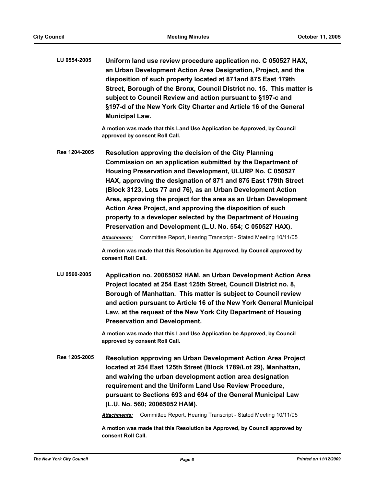| LU 0554-2005  | Uniform land use review procedure application no. C 050527 HAX,<br>an Urban Development Action Area Designation, Project, and the<br>disposition of such property located at 871 and 875 East 179th<br>Street, Borough of the Bronx, Council District no. 15. This matter is<br>subject to Council Review and action pursuant to §197-c and<br>§197-d of the New York City Charter and Article 16 of the General<br><b>Municipal Law.</b>                                                                                                                                                                                                                                                                                                                                          |
|---------------|------------------------------------------------------------------------------------------------------------------------------------------------------------------------------------------------------------------------------------------------------------------------------------------------------------------------------------------------------------------------------------------------------------------------------------------------------------------------------------------------------------------------------------------------------------------------------------------------------------------------------------------------------------------------------------------------------------------------------------------------------------------------------------|
|               | A motion was made that this Land Use Application be Approved, by Council<br>approved by consent Roll Call.                                                                                                                                                                                                                                                                                                                                                                                                                                                                                                                                                                                                                                                                         |
| Res 1204-2005 | Resolution approving the decision of the City Planning<br>Commission on an application submitted by the Department of<br>Housing Preservation and Development, ULURP No. C 050527<br>HAX, approving the designation of 871 and 875 East 179th Street<br>(Block 3123, Lots 77 and 76), as an Urban Development Action<br>Area, approving the project for the area as an Urban Development<br>Action Area Project, and approving the disposition of such<br>property to a developer selected by the Department of Housing<br>Preservation and Development (L.U. No. 554; C 050527 HAX).<br>Committee Report, Hearing Transcript - Stated Meeting 10/11/05<br><b>Attachments:</b><br>A motion was made that this Resolution be Approved, by Council approved by<br>consent Roll Call. |
| LU 0560-2005  | Application no. 20065052 HAM, an Urban Development Action Area<br>Project located at 254 East 125th Street, Council District no. 8,<br>Borough of Manhattan. This matter is subject to Council review<br>and action pursuant to Article 16 of the New York General Municipal<br>Law, at the request of the New York City Department of Housing<br><b>Preservation and Development.</b>                                                                                                                                                                                                                                                                                                                                                                                             |
|               | A motion was made that this Land Use Application be Approved, by Council<br>approved by consent Roll Call.                                                                                                                                                                                                                                                                                                                                                                                                                                                                                                                                                                                                                                                                         |
| Res 1205-2005 | Resolution approving an Urban Development Action Area Project<br>located at 254 East 125th Street (Block 1789/Lot 29), Manhattan,<br>and waiving the urban development action area designation<br>requirement and the Uniform Land Use Review Procedure,<br>pursuant to Sections 693 and 694 of the General Municipal Law<br>(L.U. No. 560; 20065052 HAM).                                                                                                                                                                                                                                                                                                                                                                                                                         |
|               | Committee Report, Hearing Transcript - Stated Meeting 10/11/05<br><b>Attachments:</b>                                                                                                                                                                                                                                                                                                                                                                                                                                                                                                                                                                                                                                                                                              |

**A motion was made that this Resolution be Approved, by Council approved by consent Roll Call.**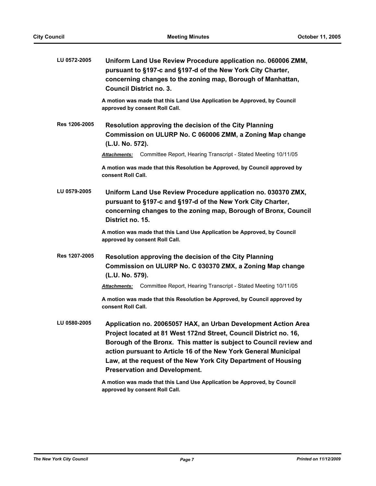| LU 0572-2005  | Uniform Land Use Review Procedure application no. 060006 ZMM,<br>pursuant to §197-c and §197-d of the New York City Charter,<br>concerning changes to the zoning map, Borough of Manhattan,<br><b>Council District no. 3.</b>                                                                                                                                                          |
|---------------|----------------------------------------------------------------------------------------------------------------------------------------------------------------------------------------------------------------------------------------------------------------------------------------------------------------------------------------------------------------------------------------|
|               | A motion was made that this Land Use Application be Approved, by Council<br>approved by consent Roll Call.                                                                                                                                                                                                                                                                             |
| Res 1206-2005 | Resolution approving the decision of the City Planning<br>Commission on ULURP No. C 060006 ZMM, a Zoning Map change<br>(L.U. No. 572).                                                                                                                                                                                                                                                 |
|               | Committee Report, Hearing Transcript - Stated Meeting 10/11/05<br><b>Attachments:</b>                                                                                                                                                                                                                                                                                                  |
|               | A motion was made that this Resolution be Approved, by Council approved by<br>consent Roll Call.                                                                                                                                                                                                                                                                                       |
| LU 0579-2005  | Uniform Land Use Review Procedure application no. 030370 ZMX,<br>pursuant to §197-c and §197-d of the New York City Charter,<br>concerning changes to the zoning map, Borough of Bronx, Council<br>District no. 15.                                                                                                                                                                    |
|               | A motion was made that this Land Use Application be Approved, by Council<br>approved by consent Roll Call.                                                                                                                                                                                                                                                                             |
| Res 1207-2005 | Resolution approving the decision of the City Planning<br>Commission on ULURP No. C 030370 ZMX, a Zoning Map change<br>(L.U. No. 579).                                                                                                                                                                                                                                                 |
|               | Committee Report, Hearing Transcript - Stated Meeting 10/11/05<br><b>Attachments:</b>                                                                                                                                                                                                                                                                                                  |
|               | A motion was made that this Resolution be Approved, by Council approved by<br>consent Roll Call.                                                                                                                                                                                                                                                                                       |
| LU 0580-2005  | Application no. 20065057 HAX, an Urban Development Action Area<br>Project located at 81 West 172nd Street, Council District no. 16,<br>Borough of the Bronx. This matter is subject to Council review and<br>action pursuant to Article 16 of the New York General Municipal<br>Law, at the request of the New York City Department of Housing<br><b>Preservation and Development.</b> |
|               | A motion was made that this Land Use Application be Approved, by Council<br>approved by consent Roll Call.                                                                                                                                                                                                                                                                             |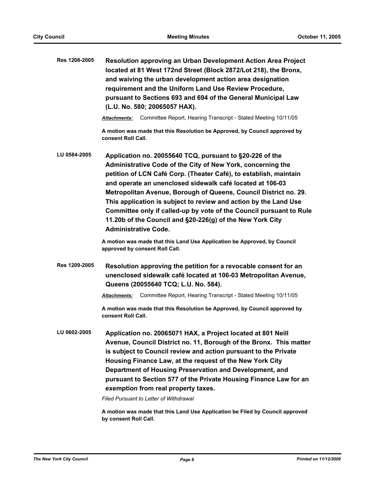| Res 1208-2005 | <b>Resolution approving an Urban Development Action Area Project</b><br>located at 81 West 172nd Street (Block 2872/Lot 218), the Bronx,<br>and waiving the urban development action area designation<br>requirement and the Uniform Land Use Review Procedure,<br>pursuant to Sections 693 and 694 of the General Municipal Law<br>(L.U. No. 580; 20065057 HAX).                                                                                                                                                                                                    |  |
|---------------|----------------------------------------------------------------------------------------------------------------------------------------------------------------------------------------------------------------------------------------------------------------------------------------------------------------------------------------------------------------------------------------------------------------------------------------------------------------------------------------------------------------------------------------------------------------------|--|
|               | Committee Report, Hearing Transcript - Stated Meeting 10/11/05<br><b>Attachments:</b>                                                                                                                                                                                                                                                                                                                                                                                                                                                                                |  |
|               | A motion was made that this Resolution be Approved, by Council approved by<br>consent Roll Call.                                                                                                                                                                                                                                                                                                                                                                                                                                                                     |  |
| LU 0584-2005  | Application no. 20055640 TCQ, pursuant to §20-226 of the<br>Administrative Code of the City of New York, concerning the<br>petition of LCN Café Corp. (Theater Café), to establish, maintain<br>and operate an unenclosed sidewalk café located at 106-03<br>Metropolitan Avenue, Borough of Queens, Council District no. 29.<br>This application is subject to review and action by the Land Use<br>Committee only if called-up by vote of the Council pursuant to Rule<br>11.20b of the Council and §20-226(g) of the New York City<br><b>Administrative Code.</b> |  |
|               | A motion was made that this Land Use Application be Approved, by Council<br>approved by consent Roll Call.                                                                                                                                                                                                                                                                                                                                                                                                                                                           |  |
| Res 1209-2005 | Resolution approving the petition for a revocable consent for an<br>unenclosed sidewalk café located at 106-03 Metropolitan Avenue,<br>Queens (20055640 TCQ; L.U. No. 584).                                                                                                                                                                                                                                                                                                                                                                                          |  |
|               | Committee Report, Hearing Transcript - Stated Meeting 10/11/05<br><b>Attachments:</b>                                                                                                                                                                                                                                                                                                                                                                                                                                                                                |  |
|               | A motion was made that this Resolution be Approved, by Council approved by<br>consent Roll Call.                                                                                                                                                                                                                                                                                                                                                                                                                                                                     |  |
| LU 0602-2005  | Application no. 20065071 HAX, a Project located at 801 Neill<br>Avenue, Council District no. 11, Borough of the Bronx. This matter<br>is subject to Council review and action pursuant to the Private<br>Housing Finance Law, at the request of the New York City<br>Department of Housing Preservation and Development, and<br>pursuant to Section 577 of the Private Housing Finance Law for an<br>exemption from real property taxes.<br>Filed Pursuant to Letter of Withdrawal                                                                                   |  |

**A motion was made that this Land Use Application be Filed by Council approved by consent Roll Call.**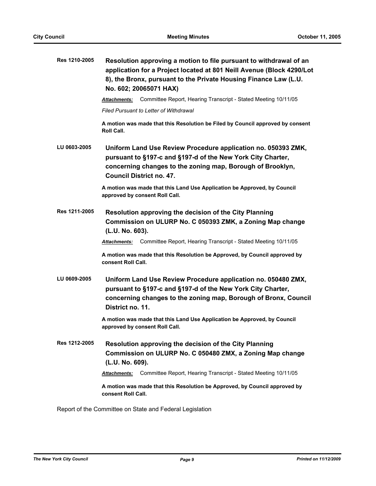| Res 1210-2005 | Resolution approving a motion to file pursuant to withdrawal of an<br>application for a Project located at 801 Neill Avenue (Block 4290/Lot<br>8), the Bronx, pursuant to the Private Housing Finance Law (L.U.<br>No. 602; 20065071 HAX) |  |  |
|---------------|-------------------------------------------------------------------------------------------------------------------------------------------------------------------------------------------------------------------------------------------|--|--|
|               | Committee Report, Hearing Transcript - Stated Meeting 10/11/05<br>Attachments:                                                                                                                                                            |  |  |
|               | <b>Filed Pursuant to Letter of Withdrawal</b>                                                                                                                                                                                             |  |  |
|               | A motion was made that this Resolution be Filed by Council approved by consent<br><b>Roll Call.</b>                                                                                                                                       |  |  |
| LU 0603-2005  | Uniform Land Use Review Procedure application no. 050393 ZMK,<br>pursuant to §197-c and §197-d of the New York City Charter,<br>concerning changes to the zoning map, Borough of Brooklyn,<br><b>Council District no. 47.</b>             |  |  |
|               | A motion was made that this Land Use Application be Approved, by Council<br>approved by consent Roll Call.                                                                                                                                |  |  |
| Res 1211-2005 | Resolution approving the decision of the City Planning<br>Commission on ULURP No. C 050393 ZMK, a Zoning Map change<br>(L.U. No. 603).                                                                                                    |  |  |
|               | Committee Report, Hearing Transcript - Stated Meeting 10/11/05<br><b>Attachments:</b>                                                                                                                                                     |  |  |
|               | A motion was made that this Resolution be Approved, by Council approved by<br>consent Roll Call.                                                                                                                                          |  |  |
| LU 0609-2005  | Uniform Land Use Review Procedure application no. 050480 ZMX,<br>pursuant to §197-c and §197-d of the New York City Charter,<br>concerning changes to the zoning map, Borough of Bronx, Council<br>District no. 11.                       |  |  |
|               | A motion was made that this Land Use Application be Approved, by Council<br>approved by consent Roll Call.                                                                                                                                |  |  |
| Res 1212-2005 | Resolution approving the decision of the City Planning<br>Commission on ULURP No. C 050480 ZMX, a Zoning Map change<br>(L.U. No. 609).                                                                                                    |  |  |
|               | Committee Report, Hearing Transcript - Stated Meeting 10/11/05<br>Attachments:                                                                                                                                                            |  |  |
|               | A motion was made that this Resolution be Approved, by Council approved by<br>consent Roll Call.                                                                                                                                          |  |  |

Report of the Committee on State and Federal Legislation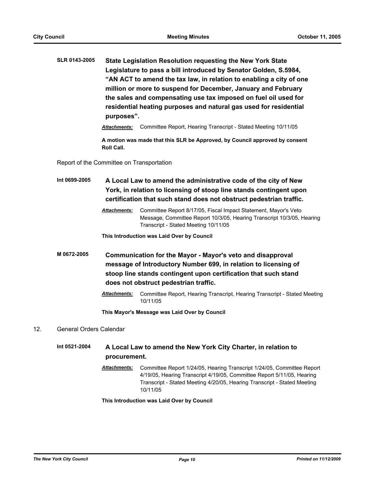**SLR 0143-2005 State Legislation Resolution requesting the New York State Legislature to pass a bill introduced by Senator Golden, S.5984, "AN ACT to amend the tax law, in relation to enabling a city of one million or more to suspend for December, January and February the sales and compensating use tax imposed on fuel oil used for residential heating purposes and natural gas used for residential purposes".**

*Attachments:* Committee Report, Hearing Transcript - Stated Meeting 10/11/05

**A motion was made that this SLR be Approved, by Council approved by consent Roll Call.**

Report of the Committee on Transportation

**Int 0699-2005 A Local Law to amend the administrative code of the city of New York, in relation to licensing of stoop line stands contingent upon certification that such stand does not obstruct pedestrian traffic.**

> *Attachments:* Committee Report 8/17/05, Fiscal Impact Statement, Mayor's Veto Message, Committee Report 10/3/05, Hearing Transcript 10/3/05, Hearing Transcript - Stated Meeting 10/11/05

**This Introduction was Laid Over by Council**

- **M 0672-2005 Communication for the Mayor Mayor's veto and disapproval message of Introductory Number 699, in relation to licensing of stoop line stands contingent upon certification that such stand does not obstruct pedestrian traffic.**
	- *Attachments:* Committee Report, Hearing Transcript, Hearing Transcript Stated Meeting 10/11/05

**This Mayor's Message was Laid Over by Council**

## 12. General Orders Calendar

**Int 0521-2004 A Local Law to amend the New York City Charter, in relation to procurement.**

> *Attachments:* Committee Report 1/24/05, Hearing Transcript 1/24/05, Committee Report 4/19/05, Hearing Transcript 4/19/05, Committee Report 5/11/05, Hearing Transcript - Stated Meeting 4/20/05, Hearing Transcript - Stated Meeting 10/11/05

**This Introduction was Laid Over by Council**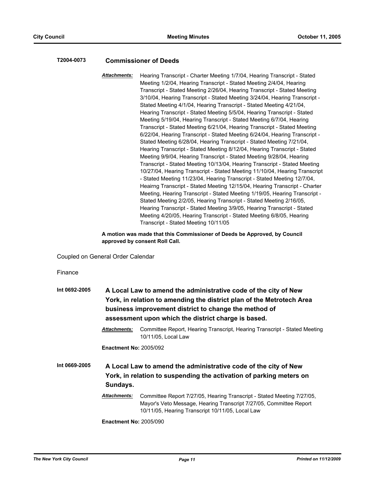## **T2004-0073 Commissioner of Deeds**

*Attachments:* Hearing Transcript - Charter Meeting 1/7/04, Hearing Transcript - Stated Meeting 1/2/04, Hearing Transcript - Stated Meeting 2/4/04, Hearing Transcript - Stated Meeting 2/26/04, Hearing Transcript - Stated Meeting 3/10/04, Hearing Transcript - Stated Meeting 3/24/04, Hearing Transcript - Stated Meeting 4/1/04, Hearing Transcript - Stated Meeting 4/21/04, Hearing Transcript - Stated Meeting 5/5/04, Hearing Transcript - Stated Meeting 5/19/04, Hearing Transcript - Stated Meeting 6/7/04, Hearing Transcript - Stated Meeting 6/21/04, Hearing Transcript - Stated Meeting 6/22/04, Hearing Transcript - Stated Meeting 6/24/04, Hearing Transcript - Stated Meeting 6/28/04, Hearing Transcript - Stated Meeting 7/21/04, Hearing Transcript - Stated Meeting 8/12/04, Hearing Transcript - Stated Meeting 9/9/04, Hearing Transcript - Stated Meeting 9/28/04, Hearing Transcript - Stated Meeting 10/13/04, Hearing Transcript - Stated Meeting 10/27/04, Hearing Transcript - Stated Meeting 11/10/04, Hearing Transcript - Stated Meeting 11/23/04, Hearing Transcript - Stated Meeting 12/7/04, Heairng Transcript - Stated Meeting 12/15/04, Hearing Transcript - Charter Meeting, Hearing Transcript - Stated Meeting 1/19/05, Hearing Transcript - Stated Meeting 2/2/05, Hearing Transcript - Stated Meeting 2/16/05, Hearing Transcript - Stated Meeting 3/9/05, Hearing Transcript - Stated Meeting 4/20/05, Hearing Transcript - Stated Meeting 6/8/05, Hearing Transcript - Stated Meeting 10/11/05

**A motion was made that this Commissioner of Deeds be Approved, by Council approved by consent Roll Call.**

Coupled on General Order Calendar

Finance

| Int 0692-2005 |                               | A Local Law to amend the administrative code of the city of New<br>York, in relation to amending the district plan of the Metrotech Area<br>business improvement district to change the method of<br>assessment upon which the district charge is based. |
|---------------|-------------------------------|----------------------------------------------------------------------------------------------------------------------------------------------------------------------------------------------------------------------------------------------------------|
|               | <b>Attachments:</b>           | Committee Report, Hearing Transcript, Hearing Transcript - Stated Meeting<br>10/11/05, Local Law                                                                                                                                                         |
|               | <b>Enactment No: 2005/092</b> |                                                                                                                                                                                                                                                          |
| Int 0669-2005 | Sundays.                      | A Local Law to amend the administrative code of the city of New<br>York, in relation to suspending the activation of parking meters on                                                                                                                   |
|               | <b>Attachments:</b>           | Committee Report 7/27/05, Hearing Transcript - Stated Meeting 7/27/05,<br>Mayor's Veto Message, Hearing Transcript 7/27/05, Committee Report<br>10/11/05, Hearing Transcript 10/11/05, Local Law                                                         |
|               |                               |                                                                                                                                                                                                                                                          |

**Enactment No:** 2005/090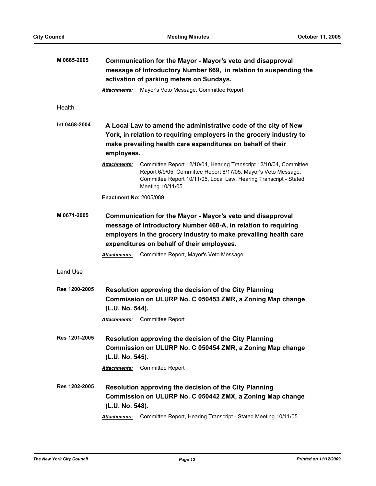| M 0665-2005   | Communication for the Mayor - Mayor's veto and disapproval<br>message of Introductory Number 669, in relation to suspending the<br>activation of parking meters on Sundays.                                                                         |  |
|---------------|-----------------------------------------------------------------------------------------------------------------------------------------------------------------------------------------------------------------------------------------------------|--|
|               | Mayor's Veto Message, Committee Report<br>Attachments:                                                                                                                                                                                              |  |
| Health        |                                                                                                                                                                                                                                                     |  |
| Int 0468-2004 | A Local Law to amend the administrative code of the city of New<br>York, in relation to requiring employers in the grocery industry to<br>make prevailing health care expenditures on behalf of their<br>employees.                                 |  |
|               | Committee Report 12/10/04, Hearing Transcript 12/10/04, Committee<br><u>Attachments:</u><br>Report 6/9/05, Committee Report 8/17/05, Mayor's Veto Message,<br>Committee Report 10/11/05, Local Law, Hearing Transcript - Stated<br>Meeting 10/11/05 |  |
|               | <b>Enactment No: 2005/089</b>                                                                                                                                                                                                                       |  |
| M 0671-2005   | Communication for the Mayor - Mayor's veto and disapproval<br>message of Introductory Number 468-A, in relation to requiring<br>employers in the grocery industry to make prevailing health care<br>expenditures on behalf of their employees.      |  |
|               | Committee Report, Mayor's Veto Message<br><b>Attachments:</b>                                                                                                                                                                                       |  |
| Land Use      |                                                                                                                                                                                                                                                     |  |
| Res 1200-2005 | <b>Resolution approving the decision of the City Planning</b><br>Commission on ULURP No. C 050453 ZMR, a Zoning Map change<br>(L.U. No. 544).                                                                                                       |  |
|               | <b>Committee Report</b><br><b>Attachments:</b>                                                                                                                                                                                                      |  |
| Res 1201-2005 | Resolution approving the decision of the City Planning<br>Commission on ULURP No. C 050454 ZMR, a Zoning Map change<br>(L.U. No. 545).                                                                                                              |  |
|               | Committee Report<br><b>Attachments:</b>                                                                                                                                                                                                             |  |
| Res 1202-2005 | Resolution approving the decision of the City Planning<br>Commission on ULURP No. C 050442 ZMX, a Zoning Map change<br>(L.U. No. 548).                                                                                                              |  |
|               | Committee Report, Hearing Transcript - Stated Meeting 10/11/05<br><b>Attachments:</b>                                                                                                                                                               |  |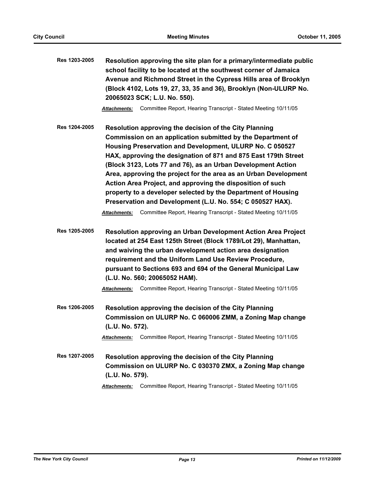| Res 1203-2005 | Resolution approving the site plan for a primary/intermediate public |
|---------------|----------------------------------------------------------------------|
|               | school facility to be located at the southwest corner of Jamaica     |
|               | Avenue and Richmond Street in the Cypress Hills area of Brooklyn     |
|               | (Block 4102, Lots 19, 27, 33, 35 and 36), Brooklyn (Non-ULURP No.    |
|               | 20065023 SCK; L.U. No. 550).                                         |

*Attachments:* Committee Report, Hearing Transcript - Stated Meeting 10/11/05

**Res 1204-2005 Resolution approving the decision of the City Planning Commission on an application submitted by the Department of Housing Preservation and Development, ULURP No. C 050527 HAX, approving the designation of 871 and 875 East 179th Street (Block 3123, Lots 77 and 76), as an Urban Development Action Area, approving the project for the area as an Urban Development Action Area Project, and approving the disposition of such property to a developer selected by the Department of Housing Preservation and Development (L.U. No. 554; C 050527 HAX).**

*Attachments:* Committee Report, Hearing Transcript - Stated Meeting 10/11/05

**Res 1205-2005 Resolution approving an Urban Development Action Area Project located at 254 East 125th Street (Block 1789/Lot 29), Manhattan, and waiving the urban development action area designation requirement and the Uniform Land Use Review Procedure, pursuant to Sections 693 and 694 of the General Municipal Law (L.U. No. 560; 20065052 HAM).**

*Attachments:* Committee Report, Hearing Transcript - Stated Meeting 10/11/05

**Res 1206-2005 Resolution approving the decision of the City Planning Commission on ULURP No. C 060006 ZMM, a Zoning Map change (L.U. No. 572).**

*Attachments:* Committee Report, Hearing Transcript - Stated Meeting 10/11/05

**Res 1207-2005 Resolution approving the decision of the City Planning Commission on ULURP No. C 030370 ZMX, a Zoning Map change (L.U. No. 579).**

*Attachments:* Committee Report, Hearing Transcript - Stated Meeting 10/11/05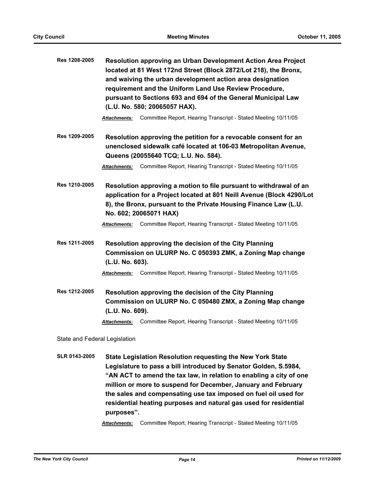| Res 1208-2005                 | <b>Resolution approving an Urban Development Action Area Project</b><br>located at 81 West 172nd Street (Block 2872/Lot 218), the Bronx,<br>and waiving the urban development action area designation<br>requirement and the Uniform Land Use Review Procedure,<br>pursuant to Sections 693 and 694 of the General Municipal Law<br>(L.U. No. 580; 20065057 HAX). |
|-------------------------------|-------------------------------------------------------------------------------------------------------------------------------------------------------------------------------------------------------------------------------------------------------------------------------------------------------------------------------------------------------------------|
|                               | Committee Report, Hearing Transcript - Stated Meeting 10/11/05<br>Attachments:                                                                                                                                                                                                                                                                                    |
| Res 1209-2005                 | Resolution approving the petition for a revocable consent for an<br>unenclosed sidewalk café located at 106-03 Metropolitan Avenue,<br>Queens (20055640 TCQ; L.U. No. 584).                                                                                                                                                                                       |
|                               | Committee Report, Hearing Transcript - Stated Meeting 10/11/05<br>Attachments:                                                                                                                                                                                                                                                                                    |
| Res 1210-2005                 | Resolution approving a motion to file pursuant to withdrawal of an<br>application for a Project located at 801 Neill Avenue (Block 4290/Lot<br>8), the Bronx, pursuant to the Private Housing Finance Law (L.U.<br>No. 602; 20065071 HAX)<br>Committee Report, Hearing Transcript - Stated Meeting 10/11/05<br>Attachments:                                       |
| Res 1211-2005                 | Resolution approving the decision of the City Planning<br>Commission on ULURP No. C 050393 ZMK, a Zoning Map change<br>(L.U. No. 603).                                                                                                                                                                                                                            |
|                               | Committee Report, Hearing Transcript - Stated Meeting 10/11/05<br>Attachments:                                                                                                                                                                                                                                                                                    |
| Res 1212-2005                 | Resolution approving the decision of the City Planning<br>Commission on ULURP No. C 050480 ZMX, a Zoning Map change<br>(L.U. No. 609).                                                                                                                                                                                                                            |
|                               | Committee Report, Hearing Transcript - Stated Meeting 10/11/05<br><u>Attachments:</u>                                                                                                                                                                                                                                                                             |
| State and Federal Legislation |                                                                                                                                                                                                                                                                                                                                                                   |

**SLR 0143-2005 State Legislation Resolution requesting the New York State Legislature to pass a bill introduced by Senator Golden, S.5984, "AN ACT to amend the tax law, in relation to enabling a city of one million or more to suspend for December, January and February the sales and compensating use tax imposed on fuel oil used for residential heating purposes and natural gas used for residential purposes".**

*Attachments:* Committee Report, Hearing Transcript - Stated Meeting 10/11/05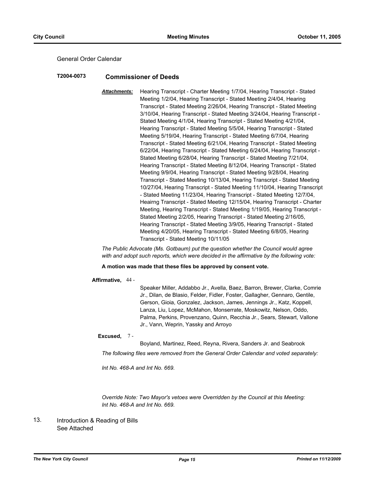## General Order Calendar

## **T2004-0073 Commissioner of Deeds**

*Attachments:* Hearing Transcript - Charter Meeting 1/7/04, Hearing Transcript - Stated Meeting 1/2/04, Hearing Transcript - Stated Meeting 2/4/04, Hearing Transcript - Stated Meeting 2/26/04, Hearing Transcript - Stated Meeting 3/10/04, Hearing Transcript - Stated Meeting 3/24/04, Hearing Transcript - Stated Meeting 4/1/04, Hearing Transcript - Stated Meeting 4/21/04, Hearing Transcript - Stated Meeting 5/5/04, Hearing Transcript - Stated Meeting 5/19/04, Hearing Transcript - Stated Meeting 6/7/04, Hearing Transcript - Stated Meeting 6/21/04, Hearing Transcript - Stated Meeting 6/22/04, Hearing Transcript - Stated Meeting 6/24/04, Hearing Transcript - Stated Meeting 6/28/04, Hearing Transcript - Stated Meeting 7/21/04, Hearing Transcript - Stated Meeting 8/12/04, Hearing Transcript - Stated Meeting 9/9/04, Hearing Transcript - Stated Meeting 9/28/04, Hearing Transcript - Stated Meeting 10/13/04, Hearing Transcript - Stated Meeting 10/27/04, Hearing Transcript - Stated Meeting 11/10/04, Hearing Transcript - Stated Meeting 11/23/04, Hearing Transcript - Stated Meeting 12/7/04, Heairng Transcript - Stated Meeting 12/15/04, Hearing Transcript - Charter Meeting, Hearing Transcript - Stated Meeting 1/19/05, Hearing Transcript - Stated Meeting 2/2/05, Hearing Transcript - Stated Meeting 2/16/05, Hearing Transcript - Stated Meeting 3/9/05, Hearing Transcript - Stated Meeting 4/20/05, Hearing Transcript - Stated Meeting 6/8/05, Hearing Transcript - Stated Meeting 10/11/05

*The Public Advocate (Ms. Gotbaum) put the question whether the Council would agree with and adopt such reports, which were decided in the affirmative by the following vote:*

**A motion was made that these files be approved by consent vote.**

### **Affirmative,** 44 -

Speaker Miller, Addabbo Jr., Avella, Baez, Barron, Brewer, Clarke, Comrie Jr., Dilan, de Blasio, Felder, Fidler, Foster, Gallagher, Gennaro, Gentile, Gerson, Gioia, Gonzalez, Jackson, James, Jennings Jr., Katz, Koppell, Lanza, Liu, Lopez, McMahon, Monserrate, Moskowitz, Nelson, Oddo, Palma, Perkins, Provenzano, Quinn, Recchia Jr., Sears, Stewart, Vallone Jr., Vann, Weprin, Yassky and Arroyo

## **Excused,** 7 -

Boyland, Martinez, Reed, Reyna, Rivera, Sanders Jr. and Seabrook

*The following files were removed from the General Order Calendar and voted separately:*

*Int No. 468-A and Int No. 669.*

*Override Note: Two Mayor's vetoes were Overridden by the Council at this Meeting: Int No. 468-A and Int No. 669.*

#### Introduction & Reading of Bills See Attached 13.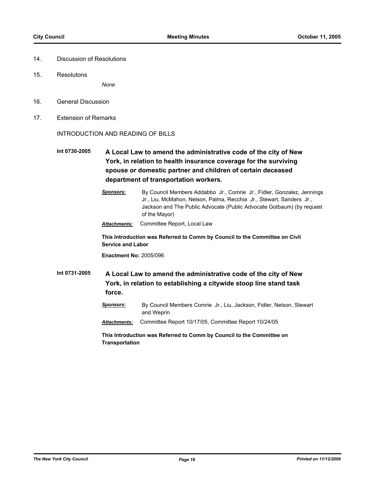- 14. Discussion of Resolutions
- 15. Resolutons

*None*

- 16. General Discussion
- 17. Extension of Remarks

INTRODUCTION AND READING OF BILLS

**Int 0730-2005 A Local Law to amend the administrative code of the city of New York, in relation to health insurance coverage for the surviving spouse or domestic partner and children of certain deceased department of transportation workers.**

> *Sponsors:* By Council Members Addabbo Jr., Comrie Jr., Fidler, Gonzalez, Jennings Jr., Liu, McMahon, Nelson, Palma, Recchia Jr., Stewart, Sanders Jr., Jackson and The Public Advocate (Public Advocate Gotbaum) (by request of the Mayor)

*Attachments:* Committee Report, Local Law

**This Introduction was Referred to Comm by Council to the Committee on Civil Service and Labor**

**Enactment No:** 2005/096

**Int 0731-2005 A Local Law to amend the administrative code of the city of New York, in relation to establishing a citywide stoop line stand task force.**

> *Sponsors:* By Council Members Comrie Jr., Liu, Jackson, Fidler, Nelson, Stewart and Weprin

*Attachments:* Committee Report 10/17/05, Committee Report 10/24/05

**This Introduction was Referred to Comm by Council to the Committee on Transportation**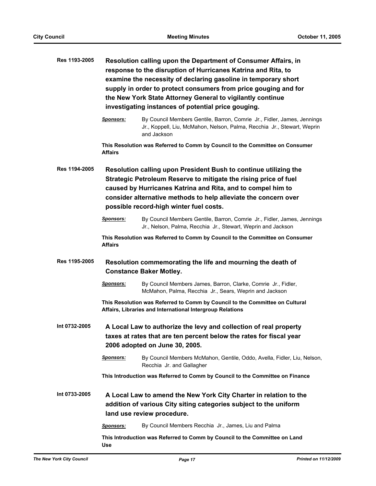| Res 1193-2005 | Resolution calling upon the Department of Consumer Affairs, in<br>response to the disruption of Hurricanes Katrina and Rita, to<br>examine the necessity of declaring gasoline in temporary short<br>supply in order to protect consumers from price gouging and for<br>the New York State Attorney General to vigilantly continue<br>investigating instances of potential price gouging. |                                                                                                                                                                                                                                                                                                                   |  |  |
|---------------|-------------------------------------------------------------------------------------------------------------------------------------------------------------------------------------------------------------------------------------------------------------------------------------------------------------------------------------------------------------------------------------------|-------------------------------------------------------------------------------------------------------------------------------------------------------------------------------------------------------------------------------------------------------------------------------------------------------------------|--|--|
|               | <b>Sponsors:</b>                                                                                                                                                                                                                                                                                                                                                                          | By Council Members Gentile, Barron, Comrie Jr., Fidler, James, Jennings<br>Jr., Koppell, Liu, McMahon, Nelson, Palma, Recchia Jr., Stewart, Weprin<br>and Jackson                                                                                                                                                 |  |  |
|               | Affairs                                                                                                                                                                                                                                                                                                                                                                                   | This Resolution was Referred to Comm by Council to the Committee on Consumer                                                                                                                                                                                                                                      |  |  |
| Res 1194-2005 |                                                                                                                                                                                                                                                                                                                                                                                           | Resolution calling upon President Bush to continue utilizing the<br>Strategic Petroleum Reserve to mitigate the rising price of fuel<br>caused by Hurricanes Katrina and Rita, and to compel him to<br>consider alternative methods to help alleviate the concern over<br>possible record-high winter fuel costs. |  |  |
|               | <b>Sponsors:</b>                                                                                                                                                                                                                                                                                                                                                                          | By Council Members Gentile, Barron, Comrie Jr., Fidler, James, Jennings<br>Jr., Nelson, Palma, Recchia Jr., Stewart, Weprin and Jackson                                                                                                                                                                           |  |  |
|               | This Resolution was Referred to Comm by Council to the Committee on Consumer<br><b>Affairs</b>                                                                                                                                                                                                                                                                                            |                                                                                                                                                                                                                                                                                                                   |  |  |
| Res 1195-2005 | Resolution commemorating the life and mourning the death of<br><b>Constance Baker Motley.</b>                                                                                                                                                                                                                                                                                             |                                                                                                                                                                                                                                                                                                                   |  |  |
|               | <b>Sponsors:</b>                                                                                                                                                                                                                                                                                                                                                                          | By Council Members James, Barron, Clarke, Comrie Jr., Fidler,<br>McMahon, Palma, Recchia Jr., Sears, Weprin and Jackson                                                                                                                                                                                           |  |  |
|               | This Resolution was Referred to Comm by Council to the Committee on Cultural<br>Affairs, Libraries and International Intergroup Relations                                                                                                                                                                                                                                                 |                                                                                                                                                                                                                                                                                                                   |  |  |
| Int 0732-2005 | A Local Law to authorize the levy and collection of real property<br>taxes at rates that are ten percent below the rates for fiscal year<br>2006 adopted on June 30, 2005.                                                                                                                                                                                                                |                                                                                                                                                                                                                                                                                                                   |  |  |
|               | <b>Sponsors:</b>                                                                                                                                                                                                                                                                                                                                                                          | By Council Members McMahon, Gentile, Oddo, Avella, Fidler, Liu, Nelson,<br>Recchia Jr. and Gallagher                                                                                                                                                                                                              |  |  |
|               |                                                                                                                                                                                                                                                                                                                                                                                           | This Introduction was Referred to Comm by Council to the Committee on Finance                                                                                                                                                                                                                                     |  |  |
| Int 0733-2005 | A Local Law to amend the New York City Charter in relation to the<br>addition of various City siting categories subject to the uniform<br>land use review procedure.                                                                                                                                                                                                                      |                                                                                                                                                                                                                                                                                                                   |  |  |
|               | <b>Sponsors:</b>                                                                                                                                                                                                                                                                                                                                                                          | By Council Members Recchia Jr., James, Liu and Palma                                                                                                                                                                                                                                                              |  |  |
|               | This Introduction was Referred to Comm by Council to the Committee on Land<br>Use                                                                                                                                                                                                                                                                                                         |                                                                                                                                                                                                                                                                                                                   |  |  |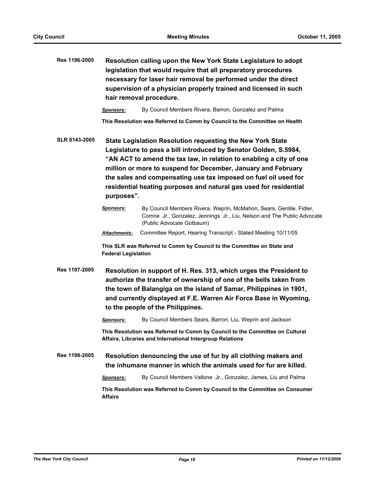| Res 1196-2005 | Resolution calling upon the New York State Legislature to adopt<br>legislation that would require that all preparatory procedures<br>necessary for laser hair removal be performed under the direct<br>supervision of a physician properly trained and licensed in such<br>hair removal procedure.                                                                                                                           |                                                                                                                                                                             |  |  |
|---------------|------------------------------------------------------------------------------------------------------------------------------------------------------------------------------------------------------------------------------------------------------------------------------------------------------------------------------------------------------------------------------------------------------------------------------|-----------------------------------------------------------------------------------------------------------------------------------------------------------------------------|--|--|
|               | <b>Sponsors:</b>                                                                                                                                                                                                                                                                                                                                                                                                             | By Council Members Rivera, Barron, Gonzalez and Palma                                                                                                                       |  |  |
|               |                                                                                                                                                                                                                                                                                                                                                                                                                              | This Resolution was Referred to Comm by Council to the Committee on Health                                                                                                  |  |  |
| SLR 0143-2005 | State Legislation Resolution requesting the New York State<br>Legislature to pass a bill introduced by Senator Golden, S.5984,<br>"AN ACT to amend the tax law, in relation to enabling a city of one<br>million or more to suspend for December, January and February<br>the sales and compensating use tax imposed on fuel oil used for<br>residential heating purposes and natural gas used for residential<br>purposes". |                                                                                                                                                                             |  |  |
|               | <b>Sponsors:</b>                                                                                                                                                                                                                                                                                                                                                                                                             | By Council Members Rivera, Weprin, McMahon, Sears, Gentile, Fidler,<br>Comrie Jr., Gonzalez, Jennings Jr., Liu, Nelson and The Public Advocate<br>(Public Advocate Gotbaum) |  |  |
|               | Attachments:                                                                                                                                                                                                                                                                                                                                                                                                                 | Committee Report, Hearing Transcript - Stated Meeting 10/11/05                                                                                                              |  |  |
|               | This SLR was Referred to Comm by Council to the Committee on State and<br><b>Federal Legislation</b>                                                                                                                                                                                                                                                                                                                         |                                                                                                                                                                             |  |  |
| Res 1197-2005 | Resolution in support of H. Res. 313, which urges the President to<br>authorize the transfer of ownership of one of the bells taken from<br>the town of Balangiga on the island of Samar, Philippines in 1901,<br>and currently displayed at F.E. Warren Air Force Base in Wyoming,<br>to the people of the Philippines.                                                                                                     |                                                                                                                                                                             |  |  |
|               | <b>Sponsors:</b>                                                                                                                                                                                                                                                                                                                                                                                                             | By Council Members Sears, Barron, Liu, Weprin and Jackson                                                                                                                   |  |  |
|               | This Resolution was Referred to Comm by Council to the Committee on Cultural<br>Affairs, Libraries and International Intergroup Relations                                                                                                                                                                                                                                                                                    |                                                                                                                                                                             |  |  |
| Res 1198-2005 | Resolution denouncing the use of fur by all clothing makers and<br>the inhumane manner in which the animals used for fur are killed.                                                                                                                                                                                                                                                                                         |                                                                                                                                                                             |  |  |
|               | <b>Sponsors:</b>                                                                                                                                                                                                                                                                                                                                                                                                             | By Council Members Vallone Jr., Gonzalez, James, Liu and Palma                                                                                                              |  |  |
|               | This Resolution was Referred to Comm by Council to the Committee on Consumer<br><b>Affairs</b>                                                                                                                                                                                                                                                                                                                               |                                                                                                                                                                             |  |  |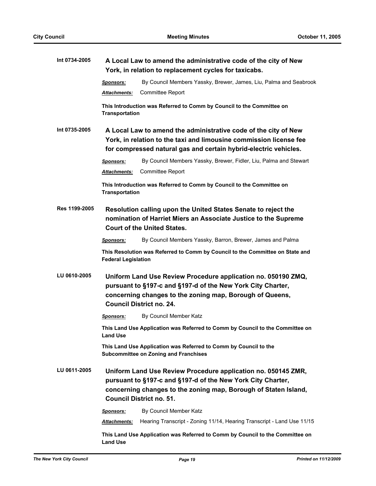| Int 0734-2005 |                                                                                                                                                                                                                                    | A Local Law to amend the administrative code of the city of New<br>York, in relation to replacement cycles for taxicabs. |  |  |
|---------------|------------------------------------------------------------------------------------------------------------------------------------------------------------------------------------------------------------------------------------|--------------------------------------------------------------------------------------------------------------------------|--|--|
|               | <b>Sponsors:</b>                                                                                                                                                                                                                   | By Council Members Yassky, Brewer, James, Liu, Palma and Seabrook                                                        |  |  |
|               | Attachments:                                                                                                                                                                                                                       | <b>Committee Report</b>                                                                                                  |  |  |
|               | This Introduction was Referred to Comm by Council to the Committee on<br><b>Transportation</b>                                                                                                                                     |                                                                                                                          |  |  |
| Int 0735-2005 | A Local Law to amend the administrative code of the city of New<br>York, in relation to the taxi and limousine commission license fee<br>for compressed natural gas and certain hybrid-electric vehicles.                          |                                                                                                                          |  |  |
|               | <b>Sponsors:</b>                                                                                                                                                                                                                   | By Council Members Yassky, Brewer, Fidler, Liu, Palma and Stewart                                                        |  |  |
|               | Attachments:                                                                                                                                                                                                                       | <b>Committee Report</b>                                                                                                  |  |  |
|               | This Introduction was Referred to Comm by Council to the Committee on<br><b>Transportation</b>                                                                                                                                     |                                                                                                                          |  |  |
| Res 1199-2005 | Resolution calling upon the United States Senate to reject the<br>nomination of Harriet Miers an Associate Justice to the Supreme<br><b>Court of the United States.</b>                                                            |                                                                                                                          |  |  |
|               | <b>Sponsors:</b>                                                                                                                                                                                                                   | By Council Members Yassky, Barron, Brewer, James and Palma                                                               |  |  |
|               | This Resolution was Referred to Comm by Council to the Committee on State and<br><b>Federal Legislation</b>                                                                                                                        |                                                                                                                          |  |  |
| LU 0610-2005  | Uniform Land Use Review Procedure application no. 050190 ZMQ,<br>pursuant to §197-c and §197-d of the New York City Charter,<br>concerning changes to the zoning map, Borough of Queens,<br><b>Council District no. 24.</b>        |                                                                                                                          |  |  |
|               | <u>Sponsors:</u>                                                                                                                                                                                                                   | By Council Member Katz                                                                                                   |  |  |
|               | <b>Land Use</b>                                                                                                                                                                                                                    | This Land Use Application was Referred to Comm by Council to the Committee on                                            |  |  |
|               | This Land Use Application was Referred to Comm by Council to the<br><b>Subcommittee on Zoning and Franchises</b>                                                                                                                   |                                                                                                                          |  |  |
| LU 0611-2005  | Uniform Land Use Review Procedure application no. 050145 ZMR,<br>pursuant to §197-c and §197-d of the New York City Charter,<br>concerning changes to the zoning map, Borough of Staten Island,<br><b>Council District no. 51.</b> |                                                                                                                          |  |  |
|               | Sponsors:                                                                                                                                                                                                                          | By Council Member Katz                                                                                                   |  |  |
|               | Attachments:                                                                                                                                                                                                                       | Hearing Transcript - Zoning 11/14, Hearing Transcript - Land Use 11/15                                                   |  |  |
|               | <b>Land Use</b>                                                                                                                                                                                                                    | This Land Use Application was Referred to Comm by Council to the Committee on                                            |  |  |